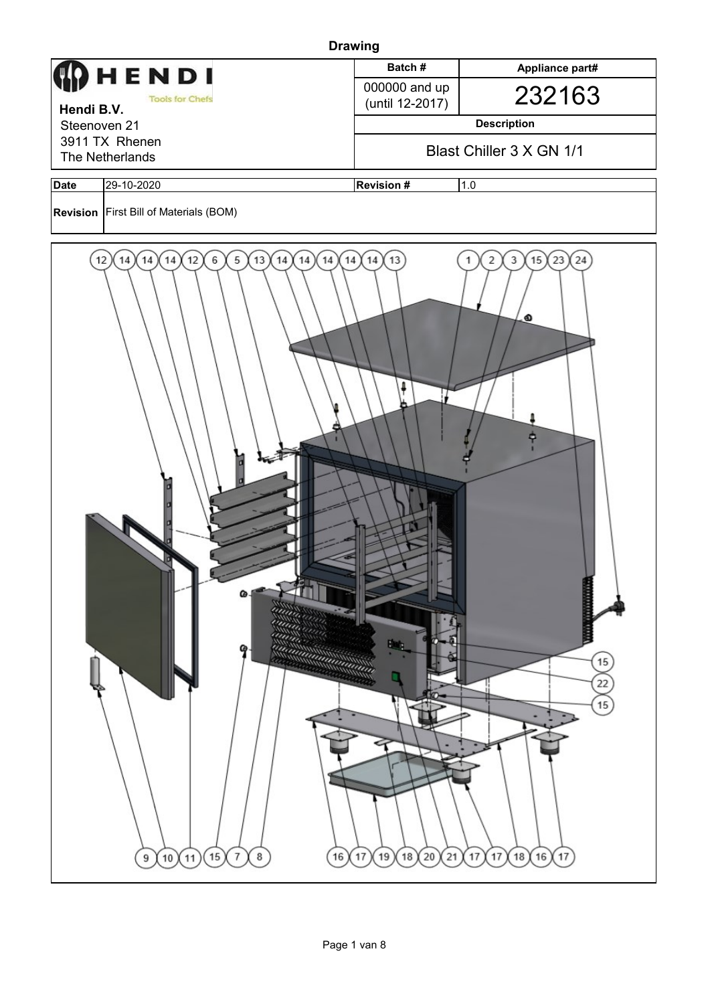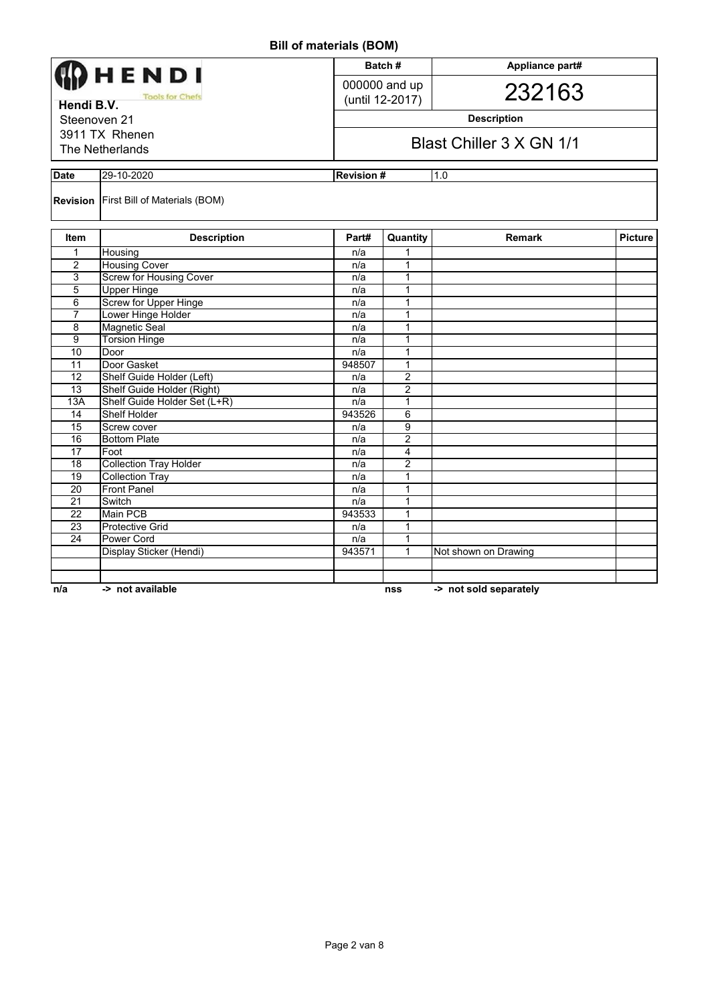| ן יייסטן טואו יא ייים וויש      |                                               |                  |                                                |                        |                |  |  |  |
|---------------------------------|-----------------------------------------------|------------------|------------------------------------------------|------------------------|----------------|--|--|--|
|                                 |                                               |                  | Batch#                                         | Appliance part#        |                |  |  |  |
| HENDI<br><b>Tools for Chefs</b> |                                               |                  | 000000 and up                                  |                        |                |  |  |  |
|                                 |                                               |                  | (until 12-2017)                                | 232163                 |                |  |  |  |
| Hendi B.V.                      |                                               |                  |                                                |                        |                |  |  |  |
| Steenoven 21                    |                                               |                  | <b>Description</b><br>Blast Chiller 3 X GN 1/1 |                        |                |  |  |  |
|                                 | 3911 TX Rhenen                                |                  |                                                |                        |                |  |  |  |
|                                 | The Netherlands                               |                  |                                                |                        |                |  |  |  |
|                                 |                                               |                  |                                                |                        |                |  |  |  |
| <b>Date</b>                     | 29-10-2020                                    | <b>Revision#</b> |                                                | 1.0                    |                |  |  |  |
|                                 | <b>Revision</b> First Bill of Materials (BOM) |                  |                                                |                        |                |  |  |  |
| Item                            | <b>Description</b>                            | Part#            | Quantity                                       | <b>Remark</b>          | <b>Picture</b> |  |  |  |
| $\mathbf{1}$                    | Housing                                       | n/a              | 1                                              |                        |                |  |  |  |
| 2                               | <b>Housing Cover</b>                          | n/a              | $\mathbf{1}$                                   |                        |                |  |  |  |
| 3                               | <b>Screw for Housing Cover</b>                | n/a              | 1                                              |                        |                |  |  |  |
| $\overline{5}$                  | <b>Upper Hinge</b>                            | n/a              | 1                                              |                        |                |  |  |  |
| 6                               | Screw for Upper Hinge                         | n/a              | $\mathbf{1}$                                   |                        |                |  |  |  |
| 7                               | Lower Hinge Holder                            | n/a              | 1                                              |                        |                |  |  |  |
| 8                               | <b>Magnetic Seal</b>                          | n/a              | 1                                              |                        |                |  |  |  |
| $\overline{9}$                  | <b>Torsion Hinge</b>                          | n/a              | $\mathbf{1}$                                   |                        |                |  |  |  |
| 10                              | Door                                          | n/a              | 1                                              |                        |                |  |  |  |
| 11                              | Door Gasket                                   | 948507           | 1                                              |                        |                |  |  |  |
| $\overline{12}$                 | Shelf Guide Holder (Left)                     | n/a              | $\overline{2}$                                 |                        |                |  |  |  |
| 13                              | Shelf Guide Holder (Right)                    | n/a              | $\overline{2}$                                 |                        |                |  |  |  |
| 13A                             | Shelf Guide Holder Set (L+R)                  | n/a              | 1                                              |                        |                |  |  |  |
| $\overline{14}$                 | <b>Shelf Holder</b>                           | 943526           | 6                                              |                        |                |  |  |  |
| 15                              | Screw cover                                   | n/a              | 9                                              |                        |                |  |  |  |
| 16                              | <b>Bottom Plate</b>                           | n/a              | 2                                              |                        |                |  |  |  |
| $\overline{17}$                 | Foot                                          | n/a              | $\overline{4}$                                 |                        |                |  |  |  |
| 18                              | <b>Collection Tray Holder</b>                 | n/a              | $\overline{2}$                                 |                        |                |  |  |  |
| $\overline{19}$                 | <b>Collection Tray</b>                        | n/a              | 1                                              |                        |                |  |  |  |
| 20                              | <b>Front Panel</b>                            | n/a              | 1                                              |                        |                |  |  |  |
| 21                              | Switch                                        | n/a              | $\mathbf{1}$                                   |                        |                |  |  |  |
| $\overline{22}$                 | <b>Main PCB</b>                               | 943533           | 1                                              |                        |                |  |  |  |
| 23                              | <b>Protective Grid</b>                        | n/a              | $\mathbf{1}$                                   |                        |                |  |  |  |
| $\overline{24}$                 | Power Cord                                    | n/a              | 1                                              |                        |                |  |  |  |
|                                 | Display Sticker (Hendi)                       | 943571           | 1                                              | Not shown on Drawing   |                |  |  |  |
|                                 |                                               |                  |                                                |                        |                |  |  |  |
|                                 |                                               |                  |                                                |                        |                |  |  |  |
| n/a                             | -> not available                              |                  | nss                                            | -> not sold separately |                |  |  |  |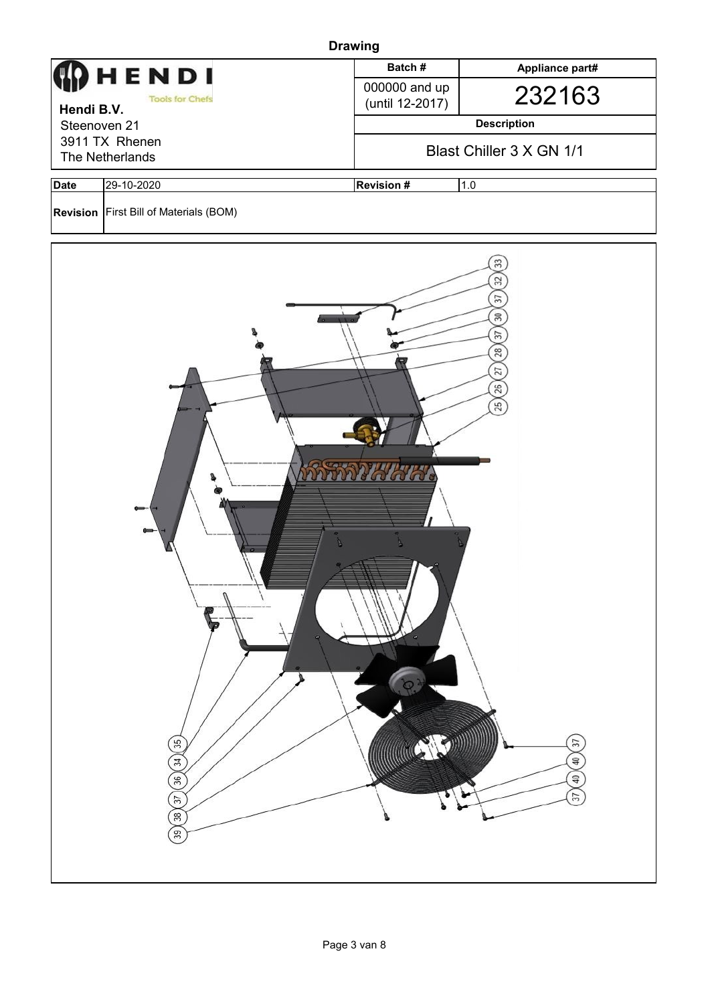|                            |                                                                    | <b>Drawing</b>          |                                                                                                                                                                   |  |  |
|----------------------------|--------------------------------------------------------------------|-------------------------|-------------------------------------------------------------------------------------------------------------------------------------------------------------------|--|--|
|                            | HENDI                                                              | Batch#                  | Appliance part#                                                                                                                                                   |  |  |
|                            | <b>Tools for Chefs</b>                                             | 000000 and up           | 232163                                                                                                                                                            |  |  |
| Hendi B.V.<br>Steenoven 21 |                                                                    | (until 12-2017)         | <b>Description</b>                                                                                                                                                |  |  |
|                            | 3911 TX Rhenen                                                     |                         |                                                                                                                                                                   |  |  |
|                            | The Netherlands                                                    |                         | Blast Chiller 3 X GN 1/1                                                                                                                                          |  |  |
| <b>Date</b>                | 29-10-2020                                                         | <b>Revision#</b>        | 1.0                                                                                                                                                               |  |  |
|                            | <b>Revision First Bill of Materials (BOM)</b>                      |                         |                                                                                                                                                                   |  |  |
|                            | 7<br>35 <sub>2</sub><br>$\left(34\right)$<br>36)<br>57<br>38<br>39 | <b>RATARY AREA</b><br>1 | 33<br>32<br>57<br>$30\,$<br>$\overline{37}$<br>28<br>$\overline{27}$<br>26)<br>25<br>(37)<br>$\left( 9\right)$<br>$\left( \frac{1}{2} \right)$<br>$\overline{37}$ |  |  |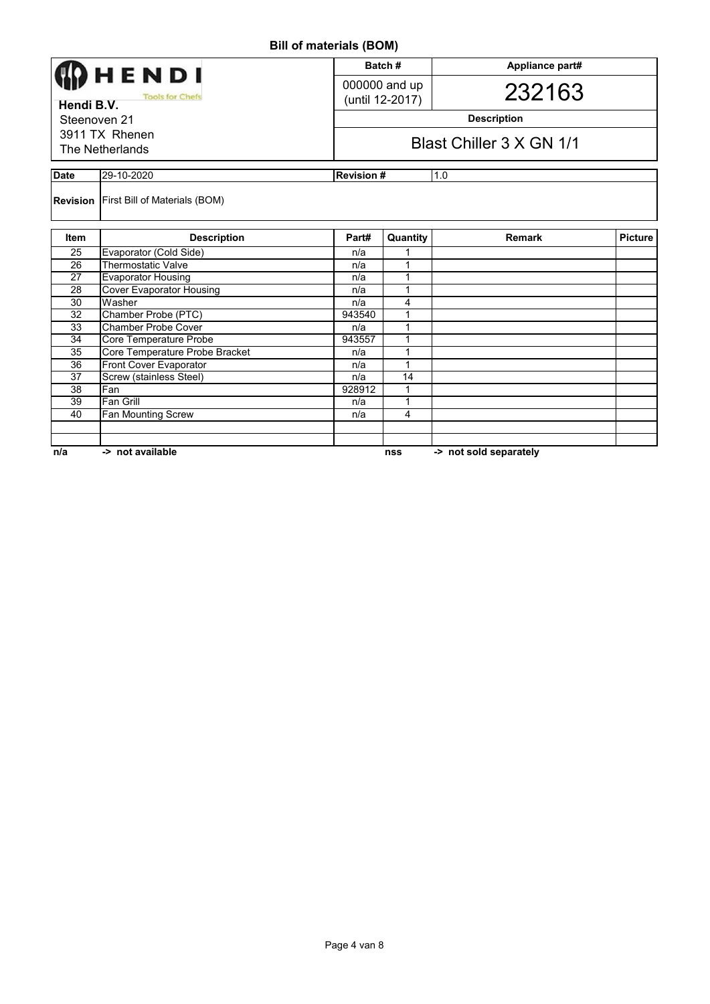|                                               |                                               |                   | Batch#                                     | Appliance part#        |                |  |  |
|-----------------------------------------------|-----------------------------------------------|-------------------|--------------------------------------------|------------------------|----------------|--|--|
| HENDI<br><b>Tools for Chefs</b><br>Hendi B.V. |                                               |                   | 000000 and up<br>232163<br>(until 12-2017) |                        |                |  |  |
| Steenoven 21                                  |                                               |                   | <b>Description</b>                         |                        |                |  |  |
| 3911 TX Rhenen<br>The Netherlands             |                                               |                   | Blast Chiller 3 X GN 1/1                   |                        |                |  |  |
| <b>Date</b>                                   | 29-10-2020                                    | <b>Revision #</b> |                                            | 1.0                    |                |  |  |
|                                               | <b>Revision First Bill of Materials (BOM)</b> |                   |                                            |                        |                |  |  |
| <b>Item</b>                                   | <b>Description</b>                            | Part#             | Quantity                                   | <b>Remark</b>          | <b>Picture</b> |  |  |
| 25                                            | Evaporator (Cold Side)                        | n/a               | 1                                          |                        |                |  |  |
| 26                                            | <b>Thermostatic Valve</b>                     | n/a               | 1                                          |                        |                |  |  |
| 27                                            | <b>Evaporator Housing</b>                     | n/a               | 1                                          |                        |                |  |  |
| 28                                            | <b>Cover Evaporator Housing</b>               | n/a               | 1                                          |                        |                |  |  |
| 30                                            | Washer                                        | n/a               | 4                                          |                        |                |  |  |
| $\overline{32}$                               | Chamber Probe (PTC)                           | 943540            | 1                                          |                        |                |  |  |
| 33                                            | Chamber Probe Cover                           | n/a               | 1                                          |                        |                |  |  |
| 34                                            | Core Temperature Probe                        | 943557            | 1                                          |                        |                |  |  |
| 35                                            | Core Temperature Probe Bracket                | n/a               | 1                                          |                        |                |  |  |
| 36                                            | Front Cover Evaporator                        | n/a               | 1                                          |                        |                |  |  |
| 37                                            | Screw (stainless Steel)                       | n/a               | 14                                         |                        |                |  |  |
| 38                                            | Fan                                           | 928912            | 1                                          |                        |                |  |  |
| 39                                            | Fan Grill                                     | n/a               | 1                                          |                        |                |  |  |
| 40                                            | Fan Mounting Screw                            | n/a               | 4                                          |                        |                |  |  |
|                                               |                                               |                   |                                            |                        |                |  |  |
| n/a                                           | -> not available                              |                   | nss                                        | -> not sold separately |                |  |  |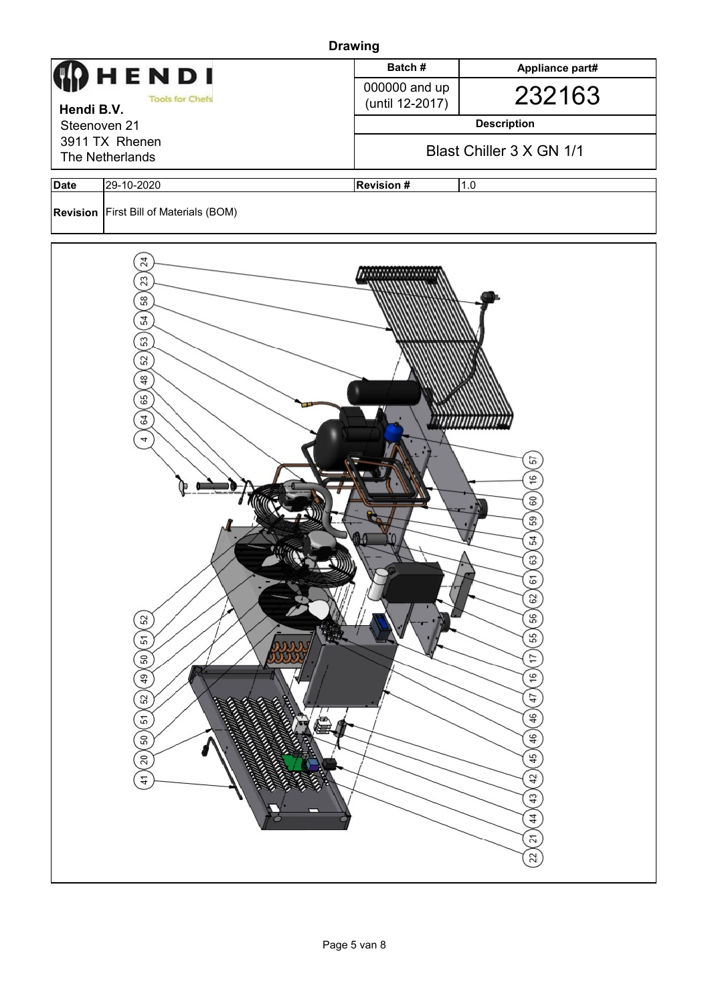|              |                                                                                                                                                                                                                                                                                                                                                                                                                                                                                                             | <b>Drawing</b>                   |                                                                                                                                                                            |
|--------------|-------------------------------------------------------------------------------------------------------------------------------------------------------------------------------------------------------------------------------------------------------------------------------------------------------------------------------------------------------------------------------------------------------------------------------------------------------------------------------------------------------------|----------------------------------|----------------------------------------------------------------------------------------------------------------------------------------------------------------------------|
|              | HENDI                                                                                                                                                                                                                                                                                                                                                                                                                                                                                                       | Batch#                           | Appliance part#                                                                                                                                                            |
| Hendi B.V.   | <b>Tools for Chefs</b>                                                                                                                                                                                                                                                                                                                                                                                                                                                                                      | 000000 and up<br>(until 12-2017) | 232163                                                                                                                                                                     |
| Steenoven 21 |                                                                                                                                                                                                                                                                                                                                                                                                                                                                                                             |                                  | <b>Description</b>                                                                                                                                                         |
|              | 3911 TX Rhenen<br>The Netherlands                                                                                                                                                                                                                                                                                                                                                                                                                                                                           |                                  | Blast Chiller 3 X GN 1/1                                                                                                                                                   |
| <b>Date</b>  | 29-10-2020                                                                                                                                                                                                                                                                                                                                                                                                                                                                                                  | <b>Revision#</b>                 | 1.0                                                                                                                                                                        |
|              | Revision   First Bill of Materials (BOM)                                                                                                                                                                                                                                                                                                                                                                                                                                                                    |                                  |                                                                                                                                                                            |
|              | 24<br>23<br>$58$<br>54<br>53<br>$52\,$<br>$48$<br>65<br>64<br>4<br>52<br>90<br>51<br>L.<br><b>SSSS</b><br>${\tt 50}$<br>\$<br>52<br><b>READ</b><br><b>Construction Construction Construction Construction Construction Construction Construction Construction Constr</b><br><b>CONSTRUCTION OF THE REAL PROPERTY AND</b><br><b>ECONOMICAL CONTRACTOR</b><br><b>RECEIVED BY AN INCH PARTIES</b><br><b>CONTRACTOR</b><br>51<br>(₩ā<br>J<br>50<br><b>CONSTANT</b><br>20<br>EAS<br>K.<br><b>ROSE</b><br>41<br>ο |                                  | 57<br>16<br>60<br>59<br>54<br>63<br>61<br>29<br>56<br>55<br>17<br>$\frac{6}{5}$<br>47<br>46<br>46<br>45<br>42<br>$\overline{4}$<br>44<br>$\overline{21}$<br>$\overline{2}$ |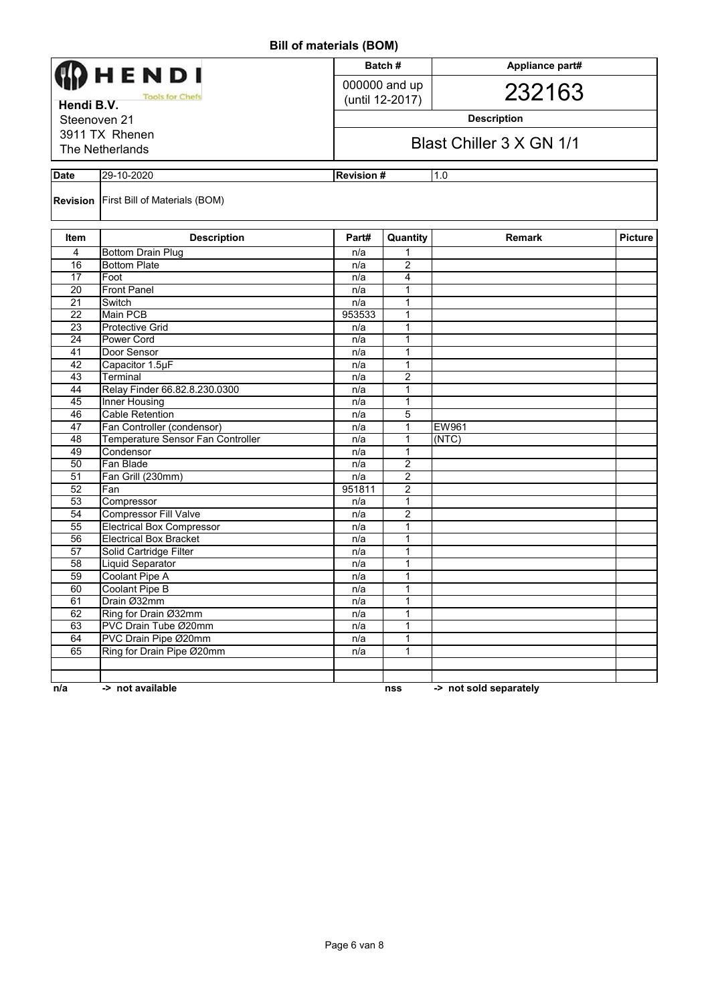| Batch#<br>Appliance part#            |                                                                   |                  |                                  |                          |                |  |  |
|--------------------------------------|-------------------------------------------------------------------|------------------|----------------------------------|--------------------------|----------------|--|--|
| HENDI                                |                                                                   |                  |                                  |                          |                |  |  |
| <b>Tools for Chefs</b><br>Hendi B.V. |                                                                   |                  | 000000 and up<br>(until 12-2017) | 232163                   |                |  |  |
| Steenoven 21                         |                                                                   |                  |                                  |                          |                |  |  |
|                                      |                                                                   |                  | <b>Description</b>               |                          |                |  |  |
|                                      | 3911 TX Rhenen                                                    |                  |                                  | Blast Chiller 3 X GN 1/1 |                |  |  |
|                                      | The Netherlands                                                   |                  |                                  |                          |                |  |  |
| <b>Date</b>                          | 29-10-2020                                                        | <b>Revision#</b> |                                  | 1.0                      |                |  |  |
|                                      | <b>Revision</b> First Bill of Materials (BOM)                     |                  |                                  |                          |                |  |  |
| Item                                 | <b>Description</b>                                                | Part#            | Quantity                         | <b>Remark</b>            | <b>Picture</b> |  |  |
| 4                                    | <b>Bottom Drain Plug</b>                                          | n/a              | 1                                |                          |                |  |  |
| 16                                   | <b>Bottom Plate</b>                                               | n/a              | 2                                |                          |                |  |  |
| 17                                   | Foot                                                              | n/a              | 4                                |                          |                |  |  |
| 20                                   | <b>Front Panel</b>                                                | n/a              | 1                                |                          |                |  |  |
| 21                                   | Switch                                                            | n/a              | 1                                |                          |                |  |  |
| 22                                   | <b>Main PCB</b>                                                   | 953533           | 1                                |                          |                |  |  |
| 23                                   | <b>Protective Grid</b>                                            | n/a              | $\mathbf{1}$                     |                          |                |  |  |
| 24                                   | Power Cord                                                        | n/a              | 1                                |                          |                |  |  |
| 41                                   | Door Sensor                                                       | n/a              | 1                                |                          |                |  |  |
| 42                                   | Capacitor 1.5µF                                                   | n/a              | 1                                |                          |                |  |  |
| 43                                   | Terminal                                                          | n/a              | $\overline{c}$                   |                          |                |  |  |
| 44                                   | Relay Finder 66.82.8.230.0300                                     | n/a              | 1                                |                          |                |  |  |
| 45                                   | <b>Inner Housing</b>                                              | n/a              | 1                                |                          |                |  |  |
| 46                                   | <b>Cable Retention</b>                                            | n/a              | 5                                |                          |                |  |  |
| 47                                   | Fan Controller (condensor)                                        | n/a              | $\mathbf{1}$                     | EW961                    |                |  |  |
| 48                                   | Temperature Sensor Fan Controller                                 | n/a              | 1                                | (NTC)                    |                |  |  |
| 49                                   | Condensor                                                         | n/a              | 1                                |                          |                |  |  |
| 50                                   | Fan Blade                                                         | n/a              | 2                                |                          |                |  |  |
| 51                                   | Fan Grill (230mm)                                                 | n/a              | 2                                |                          |                |  |  |
| 52                                   | Fan                                                               | 951811           | 2                                |                          |                |  |  |
| 53                                   | Compressor                                                        | n/a              | 1                                |                          |                |  |  |
| 54                                   | <b>Compressor Fill Valve</b>                                      | n/a              | $\overline{c}$                   |                          |                |  |  |
| 55<br>56                             | <b>Electrical Box Compressor</b><br><b>Electrical Box Bracket</b> | n/a              | 1<br>1                           |                          |                |  |  |
| 57                                   | Solid Cartridge Filter                                            | n/a              | 1                                |                          |                |  |  |
| 58                                   | <b>Liquid Separator</b>                                           | n/a<br>n/a       | 1                                |                          |                |  |  |
| 59                                   | <b>Coolant Pipe A</b>                                             | n/a              | 1                                |                          |                |  |  |
| 60                                   | Coolant Pipe B                                                    | n/a              | 1                                |                          |                |  |  |
| 61                                   | Drain Ø32mm                                                       | n/a              | 1                                |                          |                |  |  |
| 62                                   | Ring for Drain Ø32mm                                              | n/a              | $\mathbf{1}$                     |                          |                |  |  |
| 63                                   | PVC Drain Tube Ø20mm                                              | n/a              | 1                                |                          |                |  |  |
| 64                                   | PVC Drain Pipe Ø20mm                                              | n/a              | 1                                |                          |                |  |  |
| 65                                   | Ring for Drain Pipe Ø20mm                                         | n/a              | 1                                |                          |                |  |  |
|                                      |                                                                   |                  |                                  |                          |                |  |  |
|                                      |                                                                   |                  |                                  |                          |                |  |  |
| n/a                                  | -> not available                                                  |                  | nss                              | -> not sold separately   |                |  |  |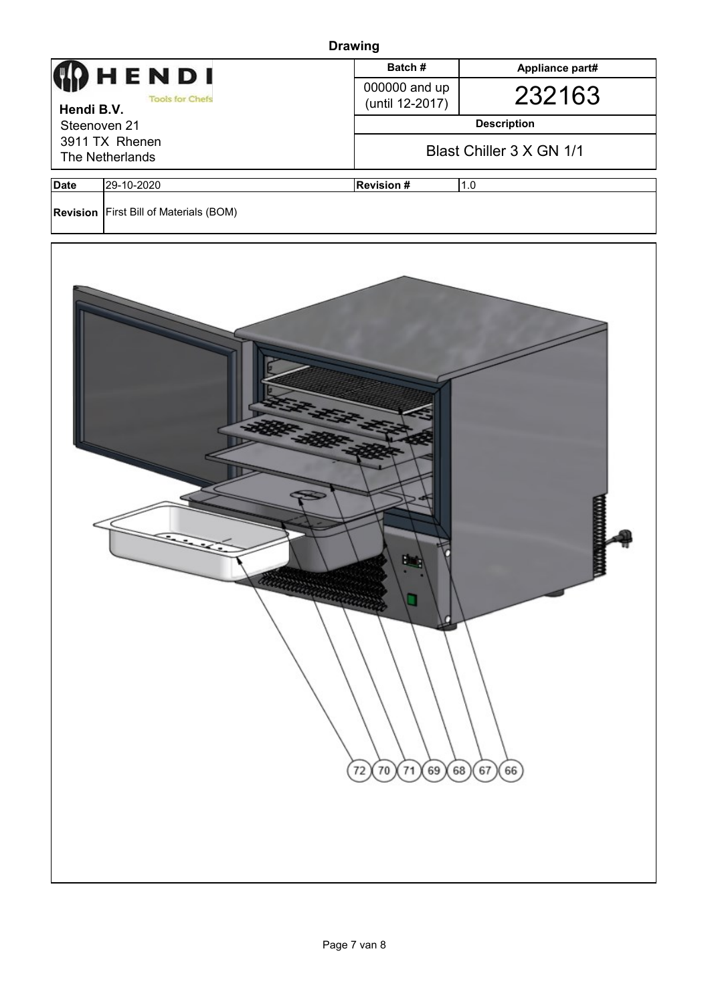|              | <b>Drawing</b>                           |                                  |                          |  |  |  |  |
|--------------|------------------------------------------|----------------------------------|--------------------------|--|--|--|--|
|              | HENDI                                    | Batch#                           | Appliance part#          |  |  |  |  |
| Hendi B.V.   | <b>Tools for Chefs</b>                   | 000000 and up<br>(until 12-2017) | 232163                   |  |  |  |  |
| Steenoven 21 |                                          |                                  | <b>Description</b>       |  |  |  |  |
|              | 3911 TX Rhenen<br>The Netherlands        |                                  | Blast Chiller 3 X GN 1/1 |  |  |  |  |
| <b>Date</b>  | 29-10-2020                               | <b>Revision#</b>                 | 1.0                      |  |  |  |  |
|              | Revision   First Bill of Materials (BOM) |                                  |                          |  |  |  |  |
|              | Allinin Miller                           | о<br>71<br>69)<br>72<br>$70$     | 66<br>68<br>67           |  |  |  |  |